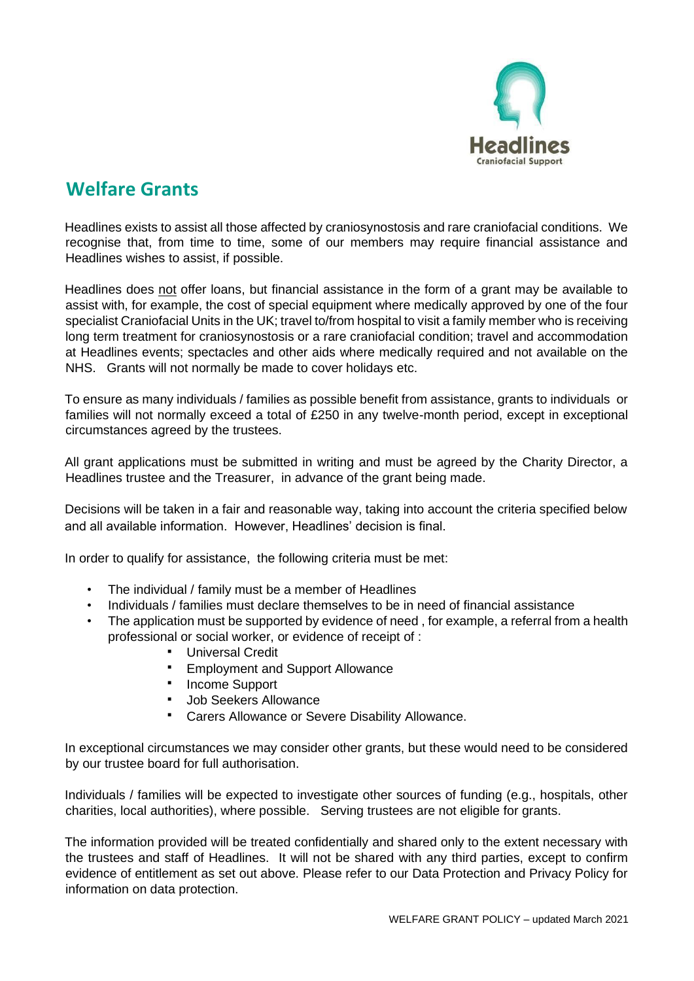

## **Welfare Grants**

Headlines exists to assist all those affected by craniosynostosis and rare craniofacial conditions. We recognise that, from time to time, some of our members may require financial assistance and Headlines wishes to assist, if possible.

Headlines does not offer loans, but financial assistance in the form of a grant may be available to assist with, for example, the cost of special equipment where medically approved by one of the four specialist Craniofacial Units in the UK; travel to/from hospital to visit a family member who is receiving long term treatment for craniosynostosis or a rare craniofacial condition; travel and accommodation at Headlines events; spectacles and other aids where medically required and not available on the NHS. Grants will not normally be made to cover holidays etc.

To ensure as many individuals / families as possible benefit from assistance, grants to individuals or families will not normally exceed a total of £250 in any twelve-month period, except in exceptional circumstances agreed by the trustees.

All grant applications must be submitted in writing and must be agreed by the Charity Director, a Headlines trustee and the Treasurer, in advance of the grant being made.

Decisions will be taken in a fair and reasonable way, taking into account the criteria specified below and all available information. However, Headlines' decision is final.

In order to qualify for assistance, the following criteria must be met:

- The individual / family must be a member of Headlines
- Individuals / families must declare themselves to be in need of financial assistance
- The application must be supported by evidence of need, for example, a referral from a health professional or social worker, or evidence of receipt of :
	- **Universal Credit**
	- Employment and Support Allowance
	- **Income Support**
	- **Job Seekers Allowance**
	- Carers Allowance or Severe Disability Allowance.

In exceptional circumstances we may consider other grants, but these would need to be considered by our trustee board for full authorisation.

Individuals / families will be expected to investigate other sources of funding (e.g., hospitals, other charities, local authorities), where possible. Serving trustees are not eligible for grants.

The information provided will be treated confidentially and shared only to the extent necessary with the trustees and staff of Headlines. It will not be shared with any third parties, except to confirm evidence of entitlement as set out above. Please refer to our Data Protection and Privacy Policy for information on data protection.